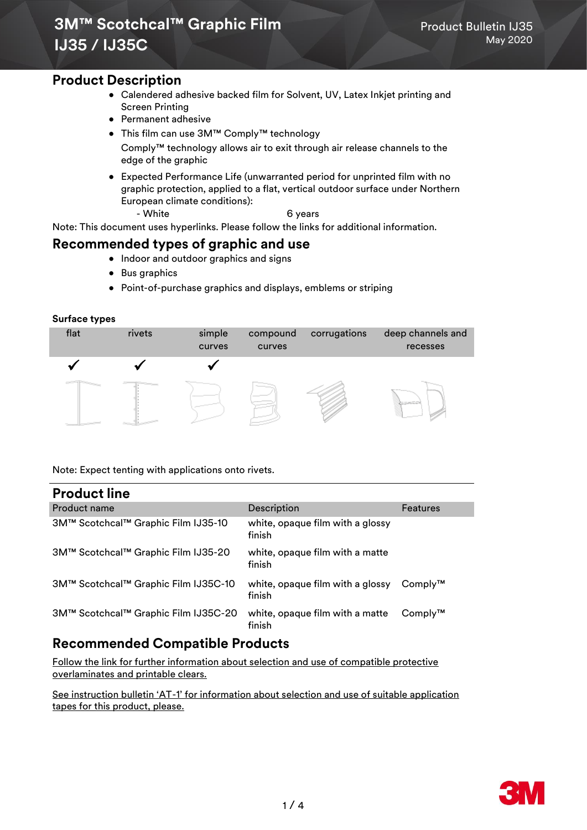### **Product Description**

- Calendered adhesive backed film for Solvent, UV, Latex Inkjet printing and Screen Printing
- Permanent adhesive
- This film can use 3M™ Comply™ technology Comply™ technology allows air to exit through air release channels to the edge of the graphic
- Expected Performance Life (unwarranted period for unprinted film with no graphic protection, applied to a flat, vertical outdoor surface under Northern European climate conditions):
	- White 6 years

Note: This document uses hyperlinks. Please follow the links for additional information.

### **Recommended types of graphic and use**

- Indoor and outdoor graphics and signs
- Bus graphics
- Point-of-purchase graphics and displays, emblems or striping

#### **Surface types**



Note: Expect tenting with applications onto rivets.

### **Product line**

| י וטעשטנ וווופ                       |                                            |                 |
|--------------------------------------|--------------------------------------------|-----------------|
| <b>Product name</b>                  | Description                                | <b>Features</b> |
| 3M™ Scotchcal™ Graphic Film IJ35-10  | white, opaque film with a glossy<br>finish |                 |
| 3M™ Scotchcal™ Graphic Film IJ35-20  | white, opaque film with a matte<br>finish  |                 |
| 3M™ Scotchcal™ Graphic Film IJ35C-10 | white, opaque film with a glossy<br>finish | $Comply^{TM}$   |
| 3M™ Scotchcal™ Graphic Film IJ35C-20 | white, opaque film with a matte<br>finish  | $Comply^{TM}$   |

# **Recommended Compatible Products**

[Follow the link for further information about selection and use of compatible protective](http://multimedia.3m.com/mws/mediawebserver?mwsId=SSSSSufSevTsZxtUO82xPY_1evUqevTSevTSevTSeSSSSSS--)  [overlaminates and printable clears.](http://multimedia.3m.com/mws/mediawebserver?mwsId=SSSSSufSevTsZxtUO82xPY_1evUqevTSevTSevTSeSSSSSS--)

See instruction bulletin 'AT-[1' for information about selection and use of suitable application](http://multimedia.3m.com/mws/mediawebserver?mwsId=kkkkkmN6cwZLdp4MGQ4wdQzYYON3YwN69OlkYOlkYkkkkkk--)  [tapes for this product, please.](http://multimedia.3m.com/mws/mediawebserver?mwsId=kkkkkmN6cwZLdp4MGQ4wdQzYYON3YwN69OlkYOlkYkkkkkk--)

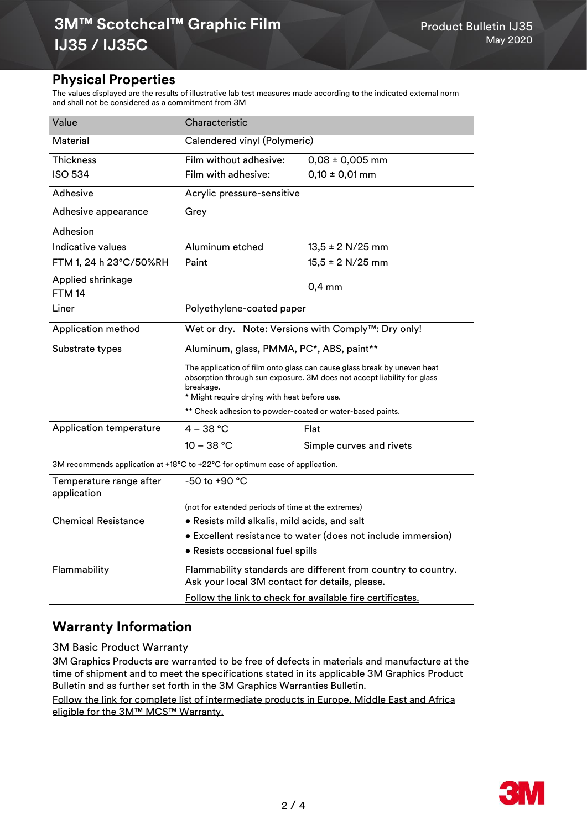## **Physical Properties**

The values displayed are the results of illustrative lab test measures made according to the indicated external norm and shall not be considered as a commitment from 3M

| Value                                                                        | Characteristic                                                                                                                                                                                                  |                          |  |
|------------------------------------------------------------------------------|-----------------------------------------------------------------------------------------------------------------------------------------------------------------------------------------------------------------|--------------------------|--|
| Material                                                                     | Calendered vinyl (Polymeric)                                                                                                                                                                                    |                          |  |
| <b>Thickness</b>                                                             | Film without adhesive:                                                                                                                                                                                          | $0,08 \pm 0,005$ mm      |  |
| <b>ISO 534</b>                                                               | Film with adhesive:                                                                                                                                                                                             | $0,10 \pm 0,01$ mm       |  |
| Adhesive                                                                     | Acrylic pressure-sensitive                                                                                                                                                                                      |                          |  |
| Adhesive appearance                                                          | Grey                                                                                                                                                                                                            |                          |  |
| Adhesion                                                                     |                                                                                                                                                                                                                 |                          |  |
| Indicative values                                                            | Aluminum etched                                                                                                                                                                                                 | $13,5 \pm 2$ N/25 mm     |  |
| FTM 1, 24 h 23°C/50%RH                                                       | Paint                                                                                                                                                                                                           | $15,5 \pm 2$ N/25 mm     |  |
| Applied shrinkage<br><b>FTM 14</b>                                           |                                                                                                                                                                                                                 | $0,4$ mm                 |  |
| Liner                                                                        | Polyethylene-coated paper                                                                                                                                                                                       |                          |  |
| Application method                                                           | Wet or dry. Note: Versions with Comply™: Dry only!                                                                                                                                                              |                          |  |
| Substrate types                                                              | Aluminum, glass, PMMA, PC*, ABS, paint**                                                                                                                                                                        |                          |  |
|                                                                              | The application of film onto glass can cause glass break by uneven heat<br>absorption through sun exposure. 3M does not accept liability for glass<br>breakage.<br>* Might require drying with heat before use. |                          |  |
|                                                                              | ** Check adhesion to powder-coated or water-based paints.                                                                                                                                                       |                          |  |
| Application temperature                                                      | $4 - 38 °C$                                                                                                                                                                                                     | Flat                     |  |
|                                                                              | $10 - 38 °C$                                                                                                                                                                                                    | Simple curves and rivets |  |
| 3M recommends application at +18°C to +22°C for optimum ease of application. |                                                                                                                                                                                                                 |                          |  |
| Temperature range after<br>application                                       | -50 to +90 °C                                                                                                                                                                                                   |                          |  |
|                                                                              | (not for extended periods of time at the extremes)                                                                                                                                                              |                          |  |
| <b>Chemical Resistance</b>                                                   | . Resists mild alkalis, mild acids, and salt                                                                                                                                                                    |                          |  |
|                                                                              | • Excellent resistance to water (does not include immersion)                                                                                                                                                    |                          |  |
|                                                                              | • Resists occasional fuel spills                                                                                                                                                                                |                          |  |
| Flammability                                                                 | Flammability standards are different from country to country.<br>Ask your local 3M contact for details, please.                                                                                                 |                          |  |
|                                                                              | Follow the link to check for available fire certificates.                                                                                                                                                       |                          |  |

# **Warranty Information**

3M Basic Product Warranty

3M Graphics Products are warranted to be free of defects in materials and manufacture at the time of shipment and to meet the specifications stated in its applicable 3M Graphics Product Bulletin and as further set forth in the 3M Graphics Warranties Bulletin.

[Follow the link for complete list of intermediate products in Europe, Middle East and Africa](https://multimedia.3m.com/mws/media/1814716O/intermediate-products-mcs-warranty-table-emea.pdf)  [eligible for the 3M™ MCS™ Warranty.](https://multimedia.3m.com/mws/media/1814716O/intermediate-products-mcs-warranty-table-emea.pdf)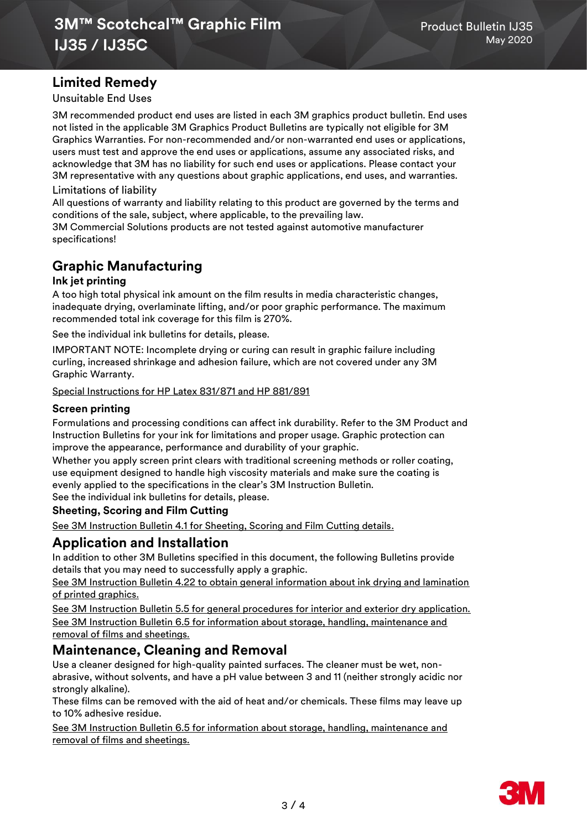# **Limited Remedy**

Unsuitable End Uses

3M recommended product end uses are listed in each 3M graphics product bulletin. End uses not listed in the applicable 3M Graphics Product Bulletins are typically not eligible for 3M Graphics Warranties. For non-recommended and/or non-warranted end uses or applications, users must test and approve the end uses or applications, assume any associated risks, and acknowledge that 3M has no liability for such end uses or applications. Please contact your 3M representative with any questions about graphic applications, end uses, and warranties. Limitations of liability

All questions of warranty and liability relating to this product are governed by the terms and conditions of the sale, subject, where applicable, to the prevailing law.

3M Commercial Solutions products are not tested against automotive manufacturer specifications!

# **Graphic Manufacturing**

#### **Ink jet printing**

A too high total physical ink amount on the film results in media characteristic changes, inadequate drying, overlaminate lifting, and/or poor graphic performance. The maximum recommended total ink coverage for this film is 270%.

See the individual ink bulletins for details, please.

IMPORTANT NOTE: Incomplete drying or curing can result in graphic failure including curling, increased shrinkage and adhesion failure, which are not covered under any 3M Graphic Warranty.

[Special Instructions for HP Latex 831/871 and HP 881/891](https://multimedia.3m.com/mws/media/1814717O/hp-latex-inks-customer-information.pdf)

#### **Screen printing**

Formulations and processing conditions can affect ink durability. Refer to the 3M Product and Instruction Bulletins for your ink for limitations and proper usage. Graphic protection can improve the appearance, performance and durability of your graphic.

Whether you apply screen print clears with traditional screening methods or roller coating, use equipment designed to handle high viscosity materials and make sure the coating is evenly applied to the specifications in the clear's 3M Instruction Bulletin. See the individual ink bulletins for details, please.

### **Sheeting, Scoring and Film Cutting**

[See 3M Instruction Bulletin 4.1 for Sheeting, Scoring and Film Cutting details.](https://multimedia.3m.com/mws/media/986575O/instruction-bulletin-4-1.pdf)

## **Application and Installation**

In addition to other 3M Bulletins specified in this document, the following Bulletins provide details that you may need to successfully apply a graphic.

See 3M Instruction Bulletin 4.22 to obtain general information about ink drying and lamination of printed graphics.

[See 3M Instruction Bulletin 5.5 for general procedures for interior and exterior dry application.](https://multimedia.3m.com/mws/media/1002230O/instruction-bulletin-5-5.pdf) [See 3M Instruction Bulletin 6.5 for information about storage, handling, maintenance and](http://multimedia.3m.com/mws/mediawebserver?mwsId=66666UgxGCuNyXTt58TaNxMyEVtQEcuZgVs6EVs6E666666--)  [removal of films and sheetings.](http://multimedia.3m.com/mws/mediawebserver?mwsId=66666UgxGCuNyXTt58TaNxMyEVtQEcuZgVs6EVs6E666666--)

## **Maintenance, Cleaning and Removal**

Use a cleaner designed for high-quality painted surfaces. The cleaner must be wet, nonabrasive, without solvents, and have a pH value between 3 and 11 (neither strongly acidic nor strongly alkaline).

These films can be removed with the aid of heat and/or chemicals. These films may leave up to 10% adhesive residue.

[See 3M Instruction Bulletin 6.5 for information about storage, handling, maintenance](http://multimedia.3m.com/mws/mediawebserver?mwsId=66666UgxGCuNyXTt58TaNxMyEVtQEcuZgVs6EVs6E666666--) and [removal of films and sheetings.](http://multimedia.3m.com/mws/mediawebserver?mwsId=66666UgxGCuNyXTt58TaNxMyEVtQEcuZgVs6EVs6E666666--)